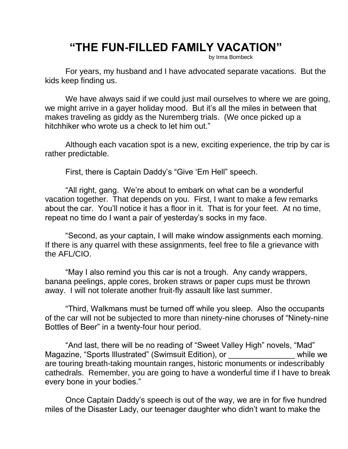## **"THE FUN-FILLED FAMILY VACATION"**

by Irma Bombeck

For years, my husband and I have advocated separate vacations. But the kids keep finding us.

We have always said if we could just mail ourselves to where we are going, we might arrive in a gayer holiday mood. But it's all the miles in between that makes traveling as giddy as the Nuremberg trials. (We once picked up a hitchhiker who wrote us a check to let him out."

Although each vacation spot is a new, exciting experience, the trip by car is rather predictable.

First, there is Captain Daddy's "Give 'Em Hell" speech.

"All right, gang. We're about to embark on what can be a wonderful vacation together. That depends on you. First, I want to make a few remarks about the car. You'll notice it has a floor in it. That is for your feet. At no time, repeat no time do I want a pair of yesterday's socks in my face.

"Second, as your captain, I will make window assignments each morning. If there is any quarrel with these assignments, feel free to file a grievance with the AFL/CIO.

"May I also remind you this car is not a trough. Any candy wrappers, banana peelings, apple cores, broken straws or paper cups must be thrown away. I will not tolerate another fruit-fly assault like last summer.

"Third, Walkmans must be turned off while you sleep. Also the occupants of the car will not be subjected to more than ninety-nine choruses of "Ninety-nine Bottles of Beer" in a twenty-four hour period.

"And last, there will be no reading of "Sweet Valley High" novels, "Mad" Magazine, "Sports Illustrated" (Swimsuit Edition), or The While we are touring breath-taking mountain ranges, historic monuments or indescribably cathedrals. Remember, you are going to have a wonderful time if I have to break every bone in your bodies."

Once Captain Daddy's speech is out of the way, we are in for five hundred miles of the Disaster Lady, our teenager daughter who didn't want to make the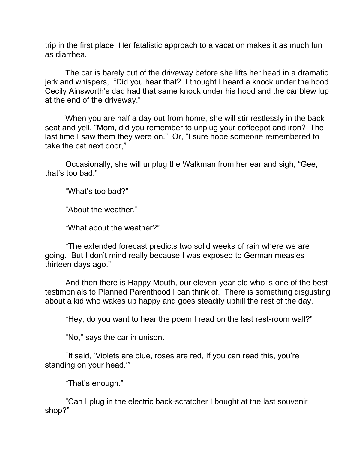trip in the first place. Her fatalistic approach to a vacation makes it as much fun as diarrhea.

The car is barely out of the driveway before she lifts her head in a dramatic jerk and whispers, "Did you hear that? I thought I heard a knock under the hood. Cecily Ainsworth's dad had that same knock under his hood and the car blew lup at the end of the driveway."

When you are half a day out from home, she will stir restlessly in the back seat and yell, "Mom, did you remember to unplug your coffeepot and iron? The last time I saw them they were on." Or, "I sure hope someone remembered to take the cat next door,"

Occasionally, she will unplug the Walkman from her ear and sigh, "Gee, that's too bad."

"What's too bad?"

"About the weather."

"What about the weather?"

"The extended forecast predicts two solid weeks of rain where we are going. But I don't mind really because I was exposed to German measles thirteen days ago."

And then there is Happy Mouth, our eleven-year-old who is one of the best testimonials to Planned Parenthood I can think of. There is something disgusting about a kid who wakes up happy and goes steadily uphill the rest of the day.

"Hey, do you want to hear the poem I read on the last rest-room wall?"

"No," says the car in unison.

"It said, 'Violets are blue, roses are red, If you can read this, you're standing on your head.'"

"That's enough."

"Can I plug in the electric back-scratcher I bought at the last souvenir shop?"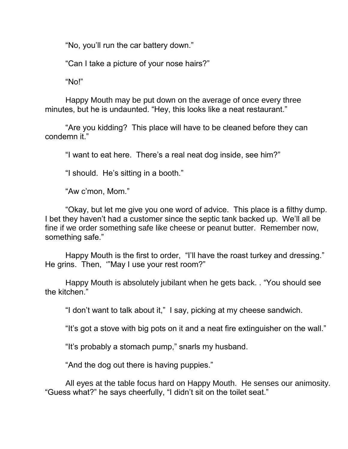"No, you'll run the car battery down."

"Can I take a picture of your nose hairs?"

"No!"

Happy Mouth may be put down on the average of once every three minutes, but he is undaunted. "Hey, this looks like a neat restaurant."

"Are you kidding? This place will have to be cleaned before they can condemn it."

"I want to eat here. There's a real neat dog inside, see him?"

"I should. He's sitting in a booth."

"Aw c'mon, Mom."

"Okay, but let me give you one word of advice. This place is a filthy dump. I bet they haven't had a customer since the septic tank backed up. We'll all be fine if we order something safe like cheese or peanut butter. Remember now, something safe."

Happy Mouth is the first to order, "I'll have the roast turkey and dressing." He grins. Then, '"May I use your rest room?"

Happy Mouth is absolutely jubilant when he gets back. . "You should see the kitchen."

"I don't want to talk about it," I say, picking at my cheese sandwich.

"It's got a stove with big pots on it and a neat fire extinguisher on the wall."

"It's probably a stomach pump," snarls my husband.

"And the dog out there is having puppies."

All eyes at the table focus hard on Happy Mouth. He senses our animosity. "Guess what?" he says cheerfully, "I didn't sit on the toilet seat."